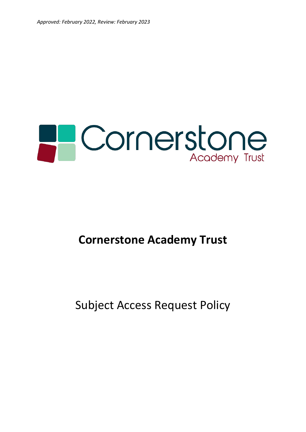

# **Cornerstone Academy Trust**

# Subject Access Request Policy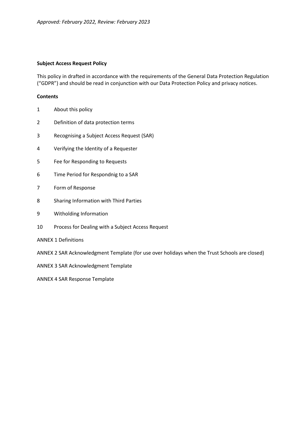#### **Subject Access Request Policy**

This policy in drafted in accordance with the requirements of the General Data Protection Regulation ("GDPR") and should be read in conjunction with our Data Protection Policy and privacy notices.

#### **Contents**

- 1 About this policy
- 2 Definition of data protection terms
- 3 Recognising a Subject Access Request (SAR)
- 4 Verifying the Identity of a Requester
- 5 Fee for Responding to Requests
- 6 Time Period for Respondnig to a SAR
- 7 Form of Response
- 8 Sharing Information with Third Parties
- 9 Witholding Information
- 10 Process for Dealing with a Subject Access Request
- ANNEX 1 Definitions
- ANNEX 2 SAR Acknowledgment Template (for use over holidays when the Trust Schools are closed)
- ANNEX 3 SAR Acknowledgment Template

ANNEX 4 SAR Response Template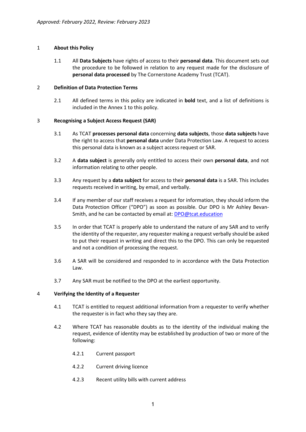# 1 **About this Policy**

1.1 All **Data Subjects** have rights of access to their **personal data**. This document sets out the procedure to be followed in relation to any request made for the disclosure of **personal data processed** by The Cornerstone Academy Trust (TCAT).

## 2 **Definition of Data Protection Terms**

2.1 All defined terms in this policy are indicated in **bold** text, and a list of definitions is included in the Annex 1 to this policy.

## 3 **Recognising a Subject Access Request (SAR)**

- 3.1 As TCAT **processes personal data** concerning **data subjects**, those **data subjects** have the right to access that **personal data** under Data Protection Law. A request to access this personal data is known as a subject access request or SAR.
- 3.2 A **data subject** is generally only entitled to access their own **personal data**, and not information relating to other people.
- 3.3 Any request by a **data subject** for access to their **personal data** is a SAR. This includes requests received in writing, by email, and verbally.
- 3.4 If any member of our staff receives a request for information, they should inform the Data Protection Officer ("DPO") as soon as possible. Our DPO is Mr Ashley Bevan-Smith, and he can be contacted by email at: [DPO@tcat.education](mailto:DPO@tcat.education)
- 3.5 In order that TCAT is properly able to understand the nature of any SAR and to verify the identity of the requester, any requester making a request verbally should be asked to put their request in writing and direct this to the DPO. This can only be requested and not a condition of processing the request.
- 3.6 A SAR will be considered and responded to in accordance with the Data Protection Law.
- 3.7 Any SAR must be notified to the DPO at the earliest opportunity.

#### 4 **Verifying the Identity of a Requester**

- 4.1 TCAT is entitled to request additional information from a requester to verify whether the requester is in fact who they say they are.
- 4.2 Where TCAT has reasonable doubts as to the identity of the individual making the request, evidence of identity may be established by production of two or more of the following:
	- 4.2.1 Current passport
	- 4.2.2 Current driving licence
	- 4.2.3 Recent utility bills with current address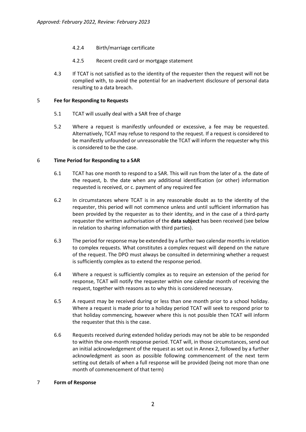- 4.2.4 Birth/marriage certificate
- 4.2.5 Recent credit card or mortgage statement
- 4.3 If TCAT is not satisfied as to the identity of the requester then the request will not be complied with, to avoid the potential for an inadvertent disclosure of personal data resulting to a data breach.

### 5 **Fee for Responding to Requests**

- 5.1 TCAT will usually deal with a SAR free of charge
- 5.2 Where a request is manifestly unfounded or excessive, a fee may be requested. Alternatively, TCAT may refuse to respond to the request. If a request is considered to be manifestly unfounded or unreasonable the TCAT will inform the requester why this is considered to be the case.

## 6 **Time Period for Responding to a SAR**

- 6.1 TCAT has one month to respond to a SAR. This will run from the later of a. the date of the request, b. the date when any additional identification (or other) information requested is received, or c. payment of any required fee
- 6.2 In circumstances where TCAT is in any reasonable doubt as to the identity of the requester, this period will not commence unless and until sufficient information has been provided by the requester as to their identity, and in the case of a third-party requester the written authorisation of the **data subject** has been received (see below in relation to sharing information with third parties).
- 6.3 The period for response may be extended by a further two calendar months in relation to complex requests. What constitutes a complex request will depend on the nature of the request. The DPO must always be consulted in determining whether a request is sufficiently complex as to extend the response period.
- 6.4 Where a request is sufficiently complex as to require an extension of the period for response, TCAT will notify the requester within one calendar month of receiving the request, together with reasons as to why this is considered necessary.
- 6.5 A request may be received during or less than one month prior to a school holiday. Where a request is made prior to a holiday period TCAT will seek to respond prior to that holiday commencing, however where this is not possible then TCAT will inform the requester that this is the case.
- 6.6 Requests received during extended holiday periods may not be able to be responded to within the one-month response period. TCAT will, in those circumstances, send out an initial acknowledgement of the request as set out in Annex 2, followed by a further acknowledgment as soon as possible following commencement of the next term setting out details of when a full response will be provided (being not more than one month of commencement of that term)

## 7 **Form of Response**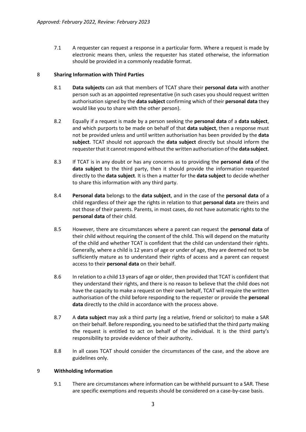7.1 A requester can request a response in a particular form. Where a request is made by electronic means then, unless the requester has stated otherwise, the information should be provided in a commonly readable format.

### 8 **Sharing Information with Third Parties**

- 8.1 **Data subjects** can ask that members of TCAT share their **personal data** with another person such as an appointed representative (in such cases you should request written authorisation signed by the **data subject** confirming which of their **personal data** they would like you to share with the other person).
- 8.2 Equally if a request is made by a person seeking the **personal data** of a **data subject**, and which purports to be made on behalf of that **data subject**, then a response must not be provided unless and until written authorisation has been provided by the **data subject**. TCAT should not approach the **data subject** directly but should inform the requester that it cannot respond without the written authorisation of the **data subject**.
- 8.3 If TCAT is in any doubt or has any concerns as to providing the **personal data** of the **data subject** to the third party, then it should provide the information requested directly to the **data subject**. It is then a matter for the **data subject** to decide whether to share this information with any third party.
- 8.4 **Personal data** belongs to the **data subject**, and in the case of the **personal data** of a child regardless of their age the rights in relation to that **personal data** are theirs and not those of their parents. Parents, in most cases, do not have automatic rights to the **personal data** of their child.
- 8.5 However, there are circumstances where a parent can request the **personal data** of their child without requiring the consent of the child. This will depend on the maturity of the child and whether TCAT is confident that the child can understand their rights. Generally, where a child is 12 years of age or under of age, they are deemed not to be sufficiently mature as to understand their rights of access and a parent can request access to their **personal data** on their behalf.
- 8.6 In relation to a child 13 years of age or older, then provided that TCAT is confident that they understand their rights, and there is no reason to believe that the child does not have the capacity to make a request on their own behalf, TCAT will require the written authorisation of the child before responding to the requester or provide the **personal data** directly to the child in accordance with the process above.
- 8.7 A **data subject** may ask a third party (eg a relative, friend or solicitor) to make a SAR on their behalf. Before responding, you need to be satisfied that the third party making the request is entitled to act on behalf of the individual. It is the third party's responsibility to provide evidence of their authority.
- 8.8 In all cases TCAT should consider the circumstances of the case, and the above are guidelines only.

#### 9 **Withholding Information**

9.1 There are circumstances where information can be withheld pursuant to a SAR. These are specific exemptions and requests should be considered on a case-by-case basis.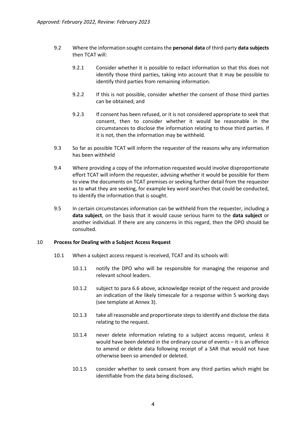- 9.2 Where the information sought contains the **personal data** of third-party **data subjects** then TCAT will:
	- 9.2.1 Consider whether it is possible to redact information so that this does not identify those third parties, taking into account that it may be possible to identify third parties from remaining information.
	- 9.2.2 If this is not possible, consider whether the consent of those third parties can be obtained; and
	- 9.2.3 If consent has been refused, or it is not considered appropriate to seek that consent, then to consider whether it would be reasonable in the circumstances to disclose the information relating to those third parties. If it is not, then the information may be withheld.
- 9.3 So far as possible TCAT will inform the requester of the reasons why any information has been withheld
- 9.4 Where providing a copy of the information requested would involve disproportionate effort TCAT will inform the requester, advising whether it would be possible for them to view the documents on TCAT premises or seeking further detail from the requester as to what they are seeking, for example key word searches that could be conducted, to identify the information that is sought.
- 9.5 In certain circumstances information can be withheld from the requester, including a **data subject**, on the basis that it would cause serious harm to the **data subject** or another individual. If there are any concerns in this regard, then the DPO should be consulted.

#### 10 **Process for Dealing with a Subject Access Request**

- 10.1 When a subject access request is received, TCAT and its schools will:
	- 10.1.1 notify the DPO who will be responsible for managing the response and relevant school leaders.
	- 10.1.2 subject to para 6.6 above, acknowledge receipt of the request and provide an indication of the likely timescale for a response within 5 working days (see template at Annex 3).
	- 10.1.3 take all reasonable and proportionate steps to identify and disclose the data relating to the request.
	- 10.1.4 never delete information relating to a subject access request, unless it would have been deleted in the ordinary course of events – it is an offence to amend or delete data following receipt of a SAR that would not have otherwise been so amended or deleted.
	- 10.1.5 consider whether to seek consent from any third parties which might be identifiable from the data being disclosed**.**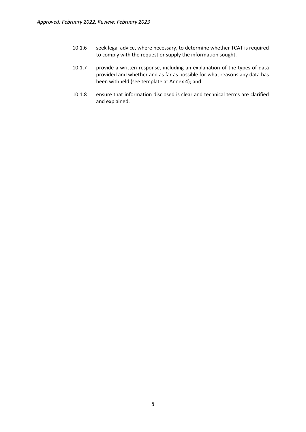- 10.1.6 seek legal advice, where necessary, to determine whether TCAT is required to comply with the request or supply the information sought.
- 10.1.7 provide a written response, including an explanation of the types of data provided and whether and as far as possible for what reasons any data has been withheld (see template at Annex 4); and
- 10.1.8 ensure that information disclosed is clear and technical terms are clarified and explained.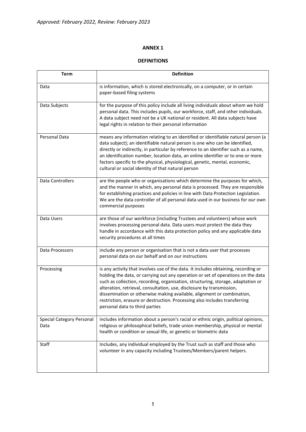# **DEFINITIONS**

| <b>Term</b>                              | <b>Definition</b>                                                                                                                                                                                                                                                                                                                                                                                                                                                                                                             |
|------------------------------------------|-------------------------------------------------------------------------------------------------------------------------------------------------------------------------------------------------------------------------------------------------------------------------------------------------------------------------------------------------------------------------------------------------------------------------------------------------------------------------------------------------------------------------------|
| Data                                     | is information, which is stored electronically, on a computer, or in certain<br>paper-based filing systems                                                                                                                                                                                                                                                                                                                                                                                                                    |
| Data Subjects                            | for the purpose of this policy include all living individuals about whom we hold<br>personal data. This includes pupils, our workforce, staff, and other individuals.<br>A data subject need not be a UK national or resident. All data subjects have<br>legal rights in relation to their personal information                                                                                                                                                                                                               |
| Personal Data                            | means any information relating to an identified or identifiable natural person (a<br>data subject); an identifiable natural person is one who can be identified,<br>directly or indirectly, in particular by reference to an identifier such as a name,<br>an identification number, location data, an online identifier or to one or more<br>factors specific to the physical, physiological, genetic, mental, economic,<br>cultural or social identity of that natural person                                               |
| Data Controllers                         | are the people who or organisations which determine the purposes for which,<br>and the manner in which, any personal data is processed. They are responsible<br>for establishing practices and policies in line with Data Protection Legislation.<br>We are the data controller of all personal data used in our business for our own<br>commercial purposes                                                                                                                                                                  |
| Data Users                               | are those of our workforce (including Trustees and volunteers) whose work<br>involves processing personal data. Data users must protect the data they<br>handle in accordance with this data protection policy and any applicable data<br>security procedures at all times                                                                                                                                                                                                                                                    |
| Data Processors                          | include any person or organisation that is not a data user that processes<br>personal data on our behalf and on our instructions                                                                                                                                                                                                                                                                                                                                                                                              |
| Processing                               | is any activity that involves use of the data. It includes obtaining, recording or<br>holding the data, or carrying out any operation or set of operations on the data<br>such as collection, recording, organisation, structuring, storage, adaptation or<br>alteration, retrieval, consultation, use, disclosure by transmission,<br>dissemination or otherwise making available, alignment or combination,<br>restriction, erasure or destruction. Processing also includes transferring<br>personal data to third parties |
| <b>Special Category Personal</b><br>Data | includes information about a person's racial or ethnic origin, political opinions,<br>religious or philosophical beliefs, trade union membership, physical or mental<br>health or condition or sexual life, or genetic or biometric data                                                                                                                                                                                                                                                                                      |
| Staff                                    | Includes, any individual employed by the Trust such as staff and those who<br>volunteer in any capacity including Trustees/Members/parent helpers.                                                                                                                                                                                                                                                                                                                                                                            |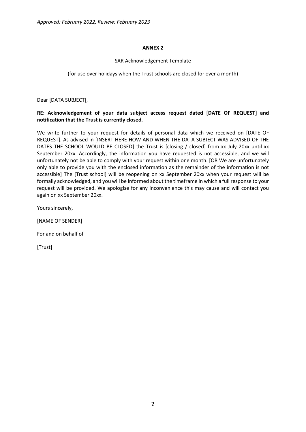## SAR Acknowledgement Template

(for use over holidays when the Trust schools are closed for over a month)

Dear [DATA SUBJECT],

# **RE: Acknowledgement of your data subject access request dated [DATE OF REQUEST] and notification that the Trust is currently closed.**

We write further to your request for details of personal data which we received on [DATE OF REQUEST]. As advised in [INSERT HERE HOW AND WHEN THE DATA SUBJECT WAS ADVISED OF THE DATES THE SCHOOL WOULD BE CLOSED] the Trust is [closing / closed] from xx July 20xx until xx September 20xx. Accordingly, the information you have requested is not accessible, and we will unfortunately not be able to comply with your request within one month. [OR We are unfortunately only able to provide you with the enclosed information as the remainder of the information is not accessible] The [Trust school] will be reopening on xx September 20xx when your request will be formally acknowledged, and you will be informed about the timeframe in which a full response to your request will be provided. We apologise for any inconvenience this may cause and will contact you again on xx September 20xx.

Yours sincerely,

[NAME OF SENDER]

For and on behalf of

[Trust]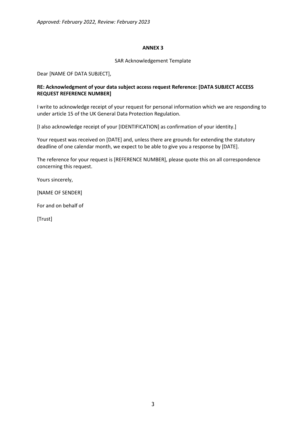### SAR Acknowledgement Template

Dear [NAME OF DATA SUBJECT],

# **RE: Acknowledgment of your data subject access request Reference: [DATA SUBJECT ACCESS REQUEST REFERENCE NUMBER]**

I write to acknowledge receipt of your request for personal information which we are responding to under article 15 of the UK General Data Protection Regulation.

[I also acknowledge receipt of your [IDENTIFICATION] as confirmation of your identity.]

Your request was received on [DATE] and, unless there are grounds for extending the statutory deadline of one calendar month, we expect to be able to give you a response by [DATE].

The reference for your request is [REFERENCE NUMBER], please quote this on all correspondence concerning this request.

Yours sincerely,

[NAME OF SENDER]

For and on behalf of

[Trust]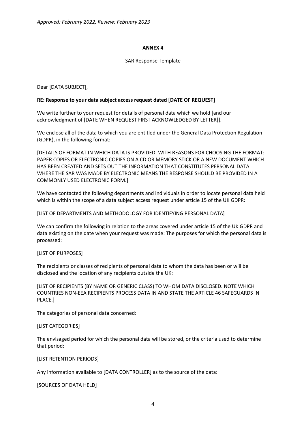### SAR Response Template

Dear [DATA SUBJECT],

### **RE: Response to your data subject access request dated [DATE OF REQUEST]**

We write further to your request for details of personal data which we hold [and our acknowledgment of [DATE WHEN REQUEST FIRST ACKNOWLEDGED BY LETTER]].

We enclose all of the data to which you are entitled under the General Data Protection Regulation (GDPR), in the following format:

[DETAILS OF FORMAT IN WHICH DATA IS PROVIDED, WITH REASONS FOR CHOOSING THE FORMAT: PAPER COPIES OR ELECTRONIC COPIES ON A CD OR MEMORY STICK OR A NEW DOCUMENT WHICH HAS BEEN CREATED AND SETS OUT THE INFORMATION THAT CONSTITUTES PERSONAL DATA. WHERE THE SAR WAS MADE BY ELECTRONIC MEANS THE RESPONSE SHOULD BE PROVIDED IN A COMMONLY USED ELECTRONIC FORM.]

We have contacted the following departments and individuals in order to locate personal data held which is within the scope of a data subject access request under article 15 of the UK GDPR:

[LIST OF DEPARTMENTS AND METHODOLOGY FOR IDENTIFYING PERSONAL DATA]

We can confirm the following in relation to the areas covered under article 15 of the UK GDPR and data existing on the date when your request was made: The purposes for which the personal data is processed:

#### [LIST OF PURPOSES]

The recipients or classes of recipients of personal data to whom the data has been or will be disclosed and the location of any recipients outside the UK:

[LIST OF RECIPIENTS (BY NAME OR GENERIC CLASS) TO WHOM DATA DISCLOSED. NOTE WHICH COUNTRIES NON-EEA RECIPIENTS PROCESS DATA IN AND STATE THE ARTICLE 46 SAFEGUARDS IN PLACE.]

The categories of personal data concerned:

[LIST CATEGORIES]

The envisaged period for which the personal data will be stored, or the criteria used to determine that period:

[LIST RETENTION PERIODS]

Any information available to [DATA CONTROLLER] as to the source of the data:

[SOURCES OF DATA HELD]